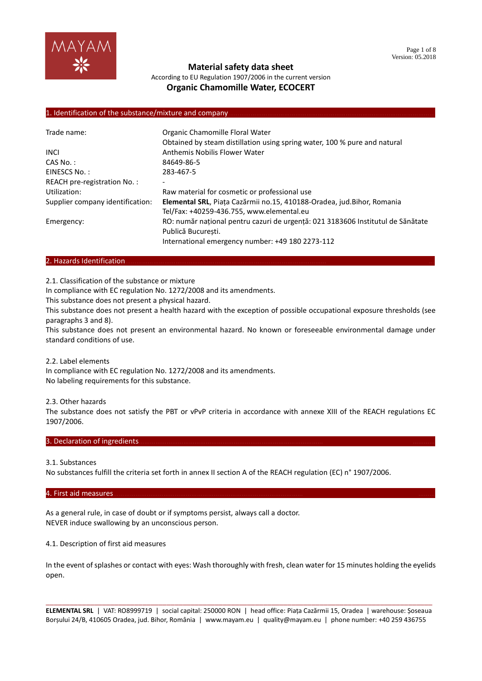

According to EU Regulation 1907/2006 in the current version **Organic Chamomille Water, ECOCERT**

#### 1. Identification of the substance/mixture and company

| Trade name:                      | Organic Chamomille Floral Water                                                 |
|----------------------------------|---------------------------------------------------------------------------------|
|                                  | Obtained by steam distillation using spring water, 100 % pure and natural       |
| <b>INCI</b>                      | Anthemis Nobilis Flower Water                                                   |
| $CAS No.$ :                      | 84649-86-5                                                                      |
| EINESCS No.:                     | 283-467-5                                                                       |
| REACH pre-registration No.:      |                                                                                 |
| Utilization:                     | Raw material for cosmetic or professional use                                   |
| Supplier company identification: | Elemental SRL, Piața Cazărmii no.15, 410188-Oradea, jud. Bihor, Romania         |
|                                  | Tel/Fax: +40259-436.755, www.elemental.eu                                       |
| Emergency:                       | RO: număr național pentru cazuri de urgență: 021 3183606 Institutul de Sănătate |
|                                  | Publică Bucuresti.                                                              |
|                                  | International emergency number: +49 180 2273-112                                |

#### 2. Hazards Identification...

2.1. Classification of the substance or mixture

In compliance with EC regulation No. 1272/2008 and its amendments.

This substance does not present a physical hazard.

This substance does not present a health hazard with the exception of possible occupational exposure thresholds (see paragraphs 3 and 8).

This substance does not present an environmental hazard. No known or foreseeable environmental damage under standard conditions of use.

2.2. Label elements

In compliance with EC regulation No. 1272/2008 and its amendments. No labeling requirements for this substance.

2.3. Other hazards

The substance does not satisfy the PBT or vPvP criteria in accordance with annexe XIII of the REACH regulations EC 1907/2006.

#### 3. Declaration of ingredients.

#### 3.1. Substances

No substances fulfill the criteria set forth in annex II section A of the REACH regulation (EC) n° 1907/2006.

#### 4. First aid measures………………………………………………………………………………………… ………

As a general rule, in case of doubt or if symptoms persist, always call a doctor. NEVER induce swallowing by an unconscious person.

4.1. Description of first aid measures

In the event of splashes or contact with eyes: Wash thoroughly with fresh, clean water for 15 minutes holding the eyelids open.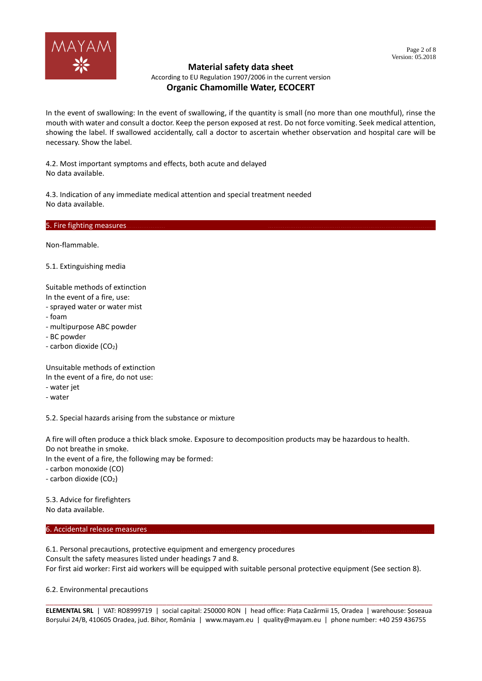

According to EU Regulation 1907/2006 in the current version

# **Organic Chamomille Water, ECOCERT**

In the event of swallowing: In the event of swallowing, if the quantity is small (no more than one mouthful), rinse the mouth with water and consult a doctor. Keep the person exposed at rest. Do not force vomiting. Seek medical attention, showing the label. If swallowed accidentally, call a doctor to ascertain whether observation and hospital care will be necessary. Show the label.

4.2. Most important symptoms and effects, both acute and delayed No data available.

4.3. Indication of any immediate medical attention and special treatment needed No data available.

5. Fire fighting measures.

Non-flammable.

5.1. Extinguishing media

Suitable methods of extinction In the event of a fire, use:

- sprayed water or water mist
- foam
- multipurpose ABC powder
- BC powder
- carbon dioxide (CO<sub>2</sub>)

Unsuitable methods of extinction

In the event of a fire, do not use:

- water jet

- water

5.2. Special hazards arising from the substance or mixture

A fire will often produce a thick black smoke. Exposure to decomposition products may be hazardous to health. Do not breathe in smoke.

In the event of a fire, the following may be formed:

- carbon monoxide (CO)

- carbon dioxide (CO<sub>2</sub>)

5.3. Advice for firefighters No data available.

#### 6. Accidental release measures.

6.1. Personal precautions, protective equipment and emergency procedures Consult the safety measures listed under headings 7 and 8. For first aid worker: First aid workers will be equipped with suitable personal protective equipment (See section 8).

6.2. Environmental precautions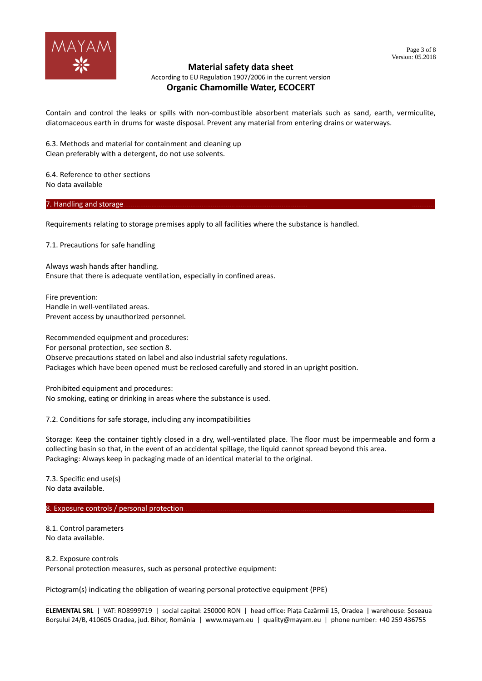

According to EU Regulation 1907/2006 in the current version

## **Organic Chamomille Water, ECOCERT**

Contain and control the leaks or spills with non-combustible absorbent materials such as sand, earth, vermiculite, diatomaceous earth in drums for waste disposal. Prevent any material from entering drains or waterways.

6.3. Methods and material for containment and cleaning up Clean preferably with a detergent, do not use solvents.

6.4. Reference to other sections No data available

7. Handling and storage

Requirements relating to storage premises apply to all facilities where the substance is handled.

7.1. Precautions for safe handling

Always wash hands after handling. Ensure that there is adequate ventilation, especially in confined areas.

Fire prevention: Handle in well-ventilated areas. Prevent access by unauthorized personnel.

Recommended equipment and procedures: For personal protection, see section 8. Observe precautions stated on label and also industrial safety regulations. Packages which have been opened must be reclosed carefully and stored in an upright position.

Prohibited equipment and procedures: No smoking, eating or drinking in areas where the substance is used.

7.2. Conditions for safe storage, including any incompatibilities

Storage: Keep the container tightly closed in a dry, well-ventilated place. The floor must be impermeable and form a collecting basin so that, in the event of an accidental spillage, the liquid cannot spread beyond this area. Packaging: Always keep in packaging made of an identical material to the original.

7.3. Specific end use(s) No data available.

8. Exposure controls / personal protection.

8.1. Control parameters No data available.

8.2. Exposure controls Personal protection measures, such as personal protective equipment:

Pictogram(s) indicating the obligation of wearing personal protective equipment (PPE)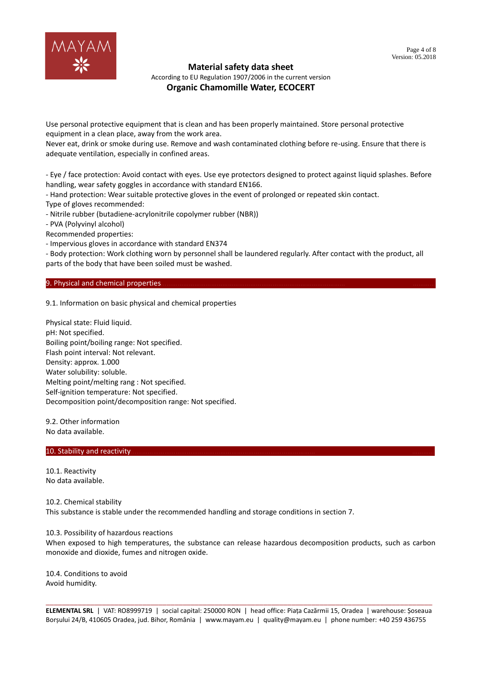

According to EU Regulation 1907/2006 in the current version

## **Organic Chamomille Water, ECOCERT**

Use personal protective equipment that is clean and has been properly maintained. Store personal protective equipment in a clean place, away from the work area.

Never eat, drink or smoke during use. Remove and wash contaminated clothing before re-using. Ensure that there is adequate ventilation, especially in confined areas.

- Eye / face protection: Avoid contact with eyes. Use eye protectors designed to protect against liquid splashes. Before handling, wear safety goggles in accordance with standard EN166.

- Hand protection: Wear suitable protective gloves in the event of prolonged or repeated skin contact. Type of gloves recommended:

- Nitrile rubber (butadiene-acrylonitrile copolymer rubber (NBR))

- PVA (Polyvinyl alcohol)

Recommended properties:

- Impervious gloves in accordance with standard EN374

- Body protection: Work clothing worn by personnel shall be laundered regularly. After contact with the product, all parts of the body that have been soiled must be washed.

#### 9. Physical and chemical properties

9.1. Information on basic physical and chemical properties

Physical state: Fluid liquid. pH: Not specified. Boiling point/boiling range: Not specified. Flash point interval: Not relevant. Density: approx. 1.000 Water solubility: soluble. Melting point/melting rang : Not specified. Self-ignition temperature: Not specified. Decomposition point/decomposition range: Not specified.

9.2. Other information No data available.

#### 10. Stability and reactivity.

10.1. Reactivity No data available.

10.2. Chemical stability

This substance is stable under the recommended handling and storage conditions in section 7.

#### 10.3. Possibility of hazardous reactions

When exposed to high temperatures, the substance can release hazardous decomposition products, such as carbon monoxide and dioxide, fumes and nitrogen oxide.

10.4. Conditions to avoid Avoid humidity.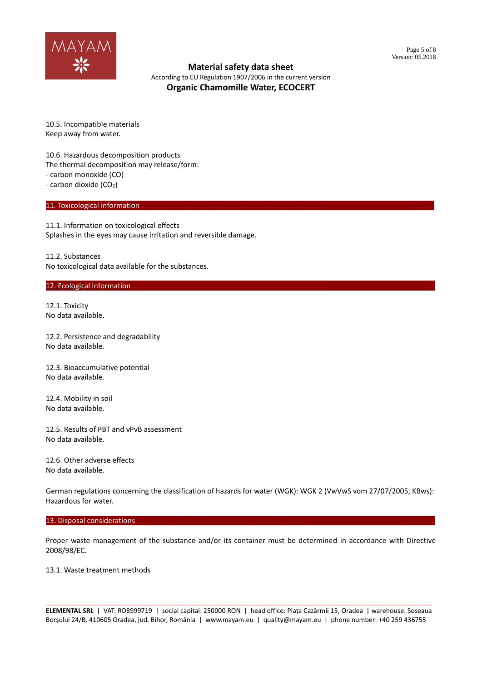

According to EU Regulation 1907/2006 in the current version **Organic Chamomille Water, ECOCERT**

10.5. Incompatible materials Keep away from water.

10.6. Hazardous decomposition products The thermal decomposition may release/form: - carbon monoxide (CO) - carbon dioxide (CO<sub>2</sub>)

#### 11. Toxicological information.

11.1. Information on toxicological effects Splashes in the eyes may cause irritation and reversible damage.

11.2. Substances No toxicological data available for the substances.

#### 12. Ecological information.

12.1. Toxicity No data available.

12.2. Persistence and degradability No data available.

12.3. Bioaccumulative potential No data available.

12.4. Mobility in soil No data available.

12.5. Results of PBT and vPvB assessment No data available.

12.6. Other adverse effects No data available.

German regulations concerning the classification of hazards for water (WGK): WGK 2 (VwVwS vom 27/07/2005, KBws): Hazardous for water.

#### 13. Disposal considerations

Proper waste management of the substance and/or its container must be determined in accordance with Directive 2008/98/EC.

#### 13.1. Waste treatment methods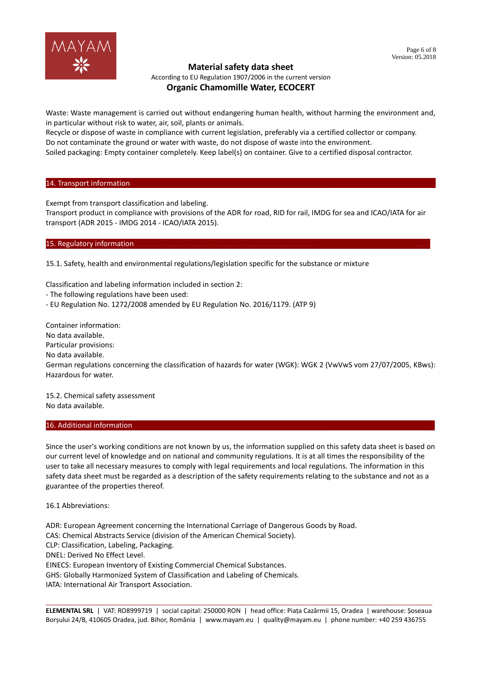

According to EU Regulation 1907/2006 in the current version

## **Organic Chamomille Water, ECOCERT**

Waste: Waste management is carried out without endangering human health, without harming the environment and, in particular without risk to water, air, soil, plants or animals.

Recycle or dispose of waste in compliance with current legislation, preferably via a certified collector or company. Do not contaminate the ground or water with waste, do not dispose of waste into the environment.

Soiled packaging: Empty container completely. Keep label(s) on container. Give to a certified disposal contractor.

#### 14. Transport information.

Exempt from transport classification and labeling.

Transport product in compliance with provisions of the ADR for road, RID for rail, IMDG for sea and ICAO/IATA for air transport (ADR 2015 - IMDG 2014 - ICAO/IATA 2015).

### 15. Regulatory information

15.1. Safety, health and environmental regulations/legislation specific for the substance or mixture

Classification and labeling information included in section 2:

- The following regulations have been used:

- EU Regulation No. 1272/2008 amended by EU Regulation No. 2016/1179. (ATP 9)

Container information: No data available. Particular provisions: No data available. German regulations concerning the classification of hazards for water (WGK): WGK 2 (VwVwS vom 27/07/2005, KBws): Hazardous for water.

15.2. Chemical safety assessment No data available.

#### 16. Additional information

Since the user's working conditions are not known by us, the information supplied on this safety data sheet is based on our current level of knowledge and on national and community regulations. It is at all times the responsibility of the user to take all necessary measures to comply with legal requirements and local regulations. The information in this safety data sheet must be regarded as a description of the safety requirements relating to the substance and not as a guarantee of the properties thereof.

16.1 Abbreviations:

ADR: European Agreement concerning the International Carriage of Dangerous Goods by Road.

CAS: Chemical Abstracts Service (division of the American Chemical Society).

CLP: Classification, Labeling, Packaging.

DNEL: Derived No Effect Level.

EINECS: European Inventory of Existing Commercial Chemical Substances.

GHS: Globally Harmonized System of Classification and Labeling of Chemicals.

IATA: International Air Transport Association.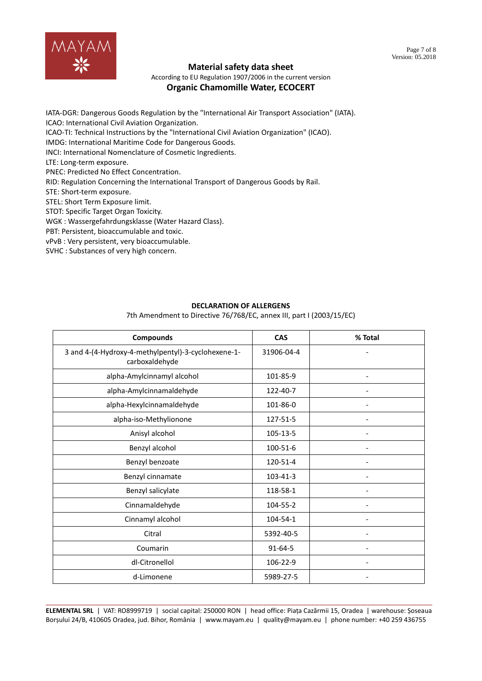

According to EU Regulation 1907/2006 in the current version

## **Organic Chamomille Water, ECOCERT**

IATA-DGR: Dangerous Goods Regulation by the "International Air Transport Association" (IATA). ICAO: International Civil Aviation Organization.

ICAO-TI: Technical Instructions by the "International Civil Aviation Organization" (ICAO).

IMDG: International Maritime Code for Dangerous Goods.

INCI: International Nomenclature of Cosmetic Ingredients.

LTE: Long-term exposure.

PNEC: Predicted No Effect Concentration.

RID: Regulation Concerning the International Transport of Dangerous Goods by Rail.

STE: Short-term exposure.

STEL: Short Term Exposure limit.

STOT: Specific Target Organ Toxicity.

WGK : Wassergefahrdungsklasse (Water Hazard Class).

PBT: Persistent, bioaccumulable and toxic.

vPvB : Very persistent, very bioaccumulable.

SVHC : Substances of very high concern.

## **DECLARATION OF ALLERGENS**

7th Amendment to Directive 76/768/EC, annex III, part I (2003/15/EC)

| <b>Compounds</b>                                                      | <b>CAS</b>    | % Total                  |
|-----------------------------------------------------------------------|---------------|--------------------------|
| 3 and 4-(4-Hydroxy-4-methylpentyl)-3-cyclohexene-1-<br>carboxaldehyde | 31906-04-4    |                          |
| alpha-Amylcinnamyl alcohol                                            | 101-85-9      |                          |
| alpha-Amylcinnamaldehyde                                              | 122-40-7      | $\overline{\phantom{a}}$ |
| alpha-Hexylcinnamaldehyde                                             | 101-86-0      |                          |
| alpha-iso-Methylionone                                                | 127-51-5      |                          |
| Anisyl alcohol                                                        | 105-13-5      |                          |
| Benzyl alcohol                                                        | 100-51-6      |                          |
| Benzyl benzoate                                                       | 120-51-4      |                          |
| Benzyl cinnamate                                                      | 103-41-3      |                          |
| Benzyl salicylate                                                     | 118-58-1      |                          |
| Cinnamaldehyde                                                        | 104-55-2      |                          |
| Cinnamyl alcohol                                                      | 104-54-1      |                          |
| Citral                                                                | 5392-40-5     |                          |
| Coumarin                                                              | $91 - 64 - 5$ |                          |
| dl-Citronellol                                                        | 106-22-9      | $\overline{\phantom{a}}$ |
| d-Limonene                                                            | 5989-27-5     |                          |